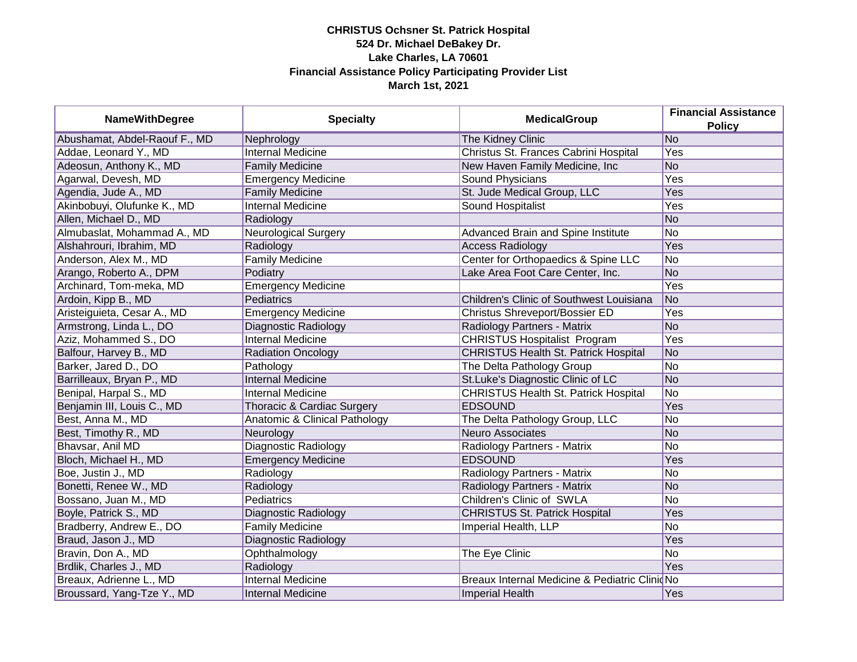| <b>NameWithDegree</b>         | <b>Specialty</b>              | <b>MedicalGroup</b>                            | <b>Financial Assistance</b><br><b>Policy</b> |
|-------------------------------|-------------------------------|------------------------------------------------|----------------------------------------------|
| Abushamat, Abdel-Raouf F., MD | Nephrology                    | The Kidney Clinic                              | No                                           |
| Addae, Leonard Y., MD         | <b>Internal Medicine</b>      | Christus St. Frances Cabrini Hospital          | <b>Yes</b>                                   |
| Adeosun, Anthony K., MD       | <b>Family Medicine</b>        | New Haven Family Medicine, Inc                 | <b>No</b>                                    |
| Agarwal, Devesh, MD           | <b>Emergency Medicine</b>     | Sound Physicians                               | Yes                                          |
| Agendia, Jude A., MD          | <b>Family Medicine</b>        | St. Jude Medical Group, LLC                    | Yes                                          |
| Akinbobuyi, Olufunke K., MD   | Internal Medicine             | Sound Hospitalist                              | Yes                                          |
| Allen, Michael D., MD         | Radiology                     |                                                | <b>No</b>                                    |
| Almubaslat, Mohammad A., MD   | Neurological Surgery          | Advanced Brain and Spine Institute             | <b>No</b>                                    |
| Alshahrouri, Ibrahim, MD      | Radiology                     | <b>Access Radiology</b>                        | Yes                                          |
| Anderson, Alex M., MD         | <b>Family Medicine</b>        | Center for Orthopaedics & Spine LLC            | No.                                          |
| Arango, Roberto A., DPM       | Podiatry                      | Lake Area Foot Care Center, Inc.               | <b>No</b>                                    |
| Archinard, Tom-meka, MD       | <b>Emergency Medicine</b>     |                                                | Yes                                          |
| Ardoin, Kipp B., MD           | Pediatrics                    | Children's Clinic of Southwest Louisiana       | <b>No</b>                                    |
| Aristeiguieta, Cesar A., MD   | <b>Emergency Medicine</b>     | Christus Shreveport/Bossier ED                 | Yes                                          |
| Armstrong, Linda L., DO       | Diagnostic Radiology          | Radiology Partners - Matrix                    | <b>No</b>                                    |
| Aziz, Mohammed S., DO         | <b>Internal Medicine</b>      | <b>CHRISTUS Hospitalist Program</b>            | Yes                                          |
| Balfour, Harvey B., MD        | <b>Radiation Oncology</b>     | <b>CHRISTUS Health St. Patrick Hospital</b>    | <b>No</b>                                    |
| Barker, Jared D., DO          | Pathology                     | The Delta Pathology Group                      | <b>No</b>                                    |
| Barrilleaux, Bryan P., MD     | <b>Internal Medicine</b>      | St.Luke's Diagnostic Clinic of LC              | N <sub>o</sub>                               |
| Benipal, Harpal S., MD        | <b>Internal Medicine</b>      | <b>CHRISTUS Health St. Patrick Hospital</b>    | <b>No</b>                                    |
| Benjamin III, Louis C., MD    | Thoracic & Cardiac Surgery    | <b>EDSOUND</b>                                 | Yes                                          |
| Best, Anna M., MD             | Anatomic & Clinical Pathology | The Delta Pathology Group, LLC                 | <b>No</b>                                    |
| Best, Timothy R., MD          | Neurology                     | <b>Neuro Associates</b>                        | <b>No</b>                                    |
| Bhavsar, Anil MD              | Diagnostic Radiology          | Radiology Partners - Matrix                    | <b>No</b>                                    |
| Bloch, Michael H., MD         | <b>Emergency Medicine</b>     | <b>EDSOUND</b>                                 | Yes                                          |
| Boe, Justin J., MD            | Radiology                     | Radiology Partners - Matrix                    | No                                           |
| Bonetti, Renee W., MD         | Radiology                     | Radiology Partners - Matrix                    | <b>No</b>                                    |
| Bossano, Juan M., MD          | Pediatrics                    | Children's Clinic of SWLA                      | <b>No</b>                                    |
| Boyle, Patrick S., MD         | Diagnostic Radiology          | <b>CHRISTUS St. Patrick Hospital</b>           | Yes                                          |
| Bradberry, Andrew E., DO      | <b>Family Medicine</b>        | Imperial Health, LLP                           | No                                           |
| Braud, Jason J., MD           | Diagnostic Radiology          |                                                | Yes                                          |
| Bravin, Don A., MD            | Ophthalmology                 | The Eye Clinic                                 | $\overline{No}$                              |
| Brdlik, Charles J., MD        | Radiology                     |                                                | Yes                                          |
| Breaux, Adrienne L., MD       | Internal Medicine             | Breaux Internal Medicine & Pediatric Clinid No |                                              |
| Broussard, Yang-Tze Y., MD    | <b>Internal Medicine</b>      | <b>Imperial Health</b>                         | Yes                                          |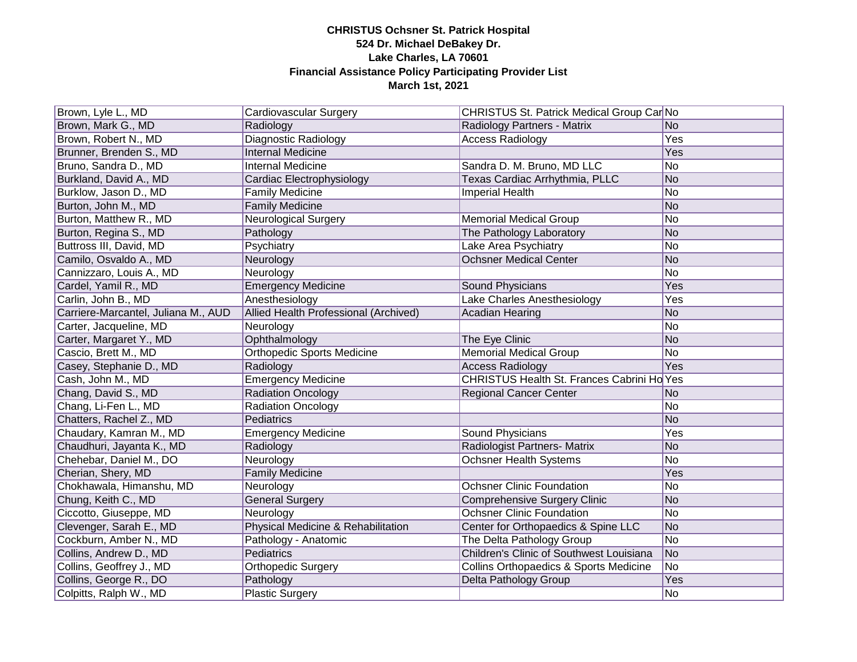| Brown, Lyle L., MD                  | Cardiovascular Surgery                | CHRISTUS St. Patrick Medical Group Car No         |                |
|-------------------------------------|---------------------------------------|---------------------------------------------------|----------------|
| Brown, Mark G., MD                  | Radiology                             | Radiology Partners - Matrix                       | No.            |
| Brown, Robert N., MD                | <b>Diagnostic Radiology</b>           | <b>Access Radiology</b>                           | Yes            |
| Brunner, Brenden S., MD             | <b>Internal Medicine</b>              |                                                   | Yes            |
| Bruno, Sandra D., MD                | <b>Internal Medicine</b>              | Sandra D. M. Bruno, MD LLC                        | No             |
| Burkland, David A., MD              | Cardiac Electrophysiology             | Texas Cardiac Arrhythmia, PLLC                    | <b>No</b>      |
| Burklow, Jason D., MD               | <b>Family Medicine</b>                | <b>Imperial Health</b>                            | <b>No</b>      |
| Burton, John M., MD                 | <b>Family Medicine</b>                |                                                   | <b>No</b>      |
| Burton, Matthew R., MD              | Neurological Surgery                  | <b>Memorial Medical Group</b>                     | No             |
| Burton, Regina S., MD               | Pathology                             | The Pathology Laboratory                          | <b>No</b>      |
| Buttross III, David, MD             | Psychiatry                            | Lake Area Psychiatry                              | No             |
| Camilo, Osvaldo A., MD              | Neurology                             | <b>Ochsner Medical Center</b>                     | <b>No</b>      |
| Cannizzaro, Louis A., MD            | Neurology                             |                                                   | No             |
| Cardel, Yamil R., MD                | <b>Emergency Medicine</b>             | Sound Physicians                                  | Yes            |
| Carlin, John B., MD                 | Anesthesiology                        | Lake Charles Anesthesiology                       | Yes            |
| Carriere-Marcantel, Juliana M., AUD | Allied Health Professional (Archived) | <b>Acadian Hearing</b>                            | <b>No</b>      |
| Carter, Jacqueline, MD              | Neurology                             |                                                   | No             |
| Carter, Margaret Y., MD             | Ophthalmology                         | The Eye Clinic                                    | N <sub>o</sub> |
| Cascio, Brett M., MD                | <b>Orthopedic Sports Medicine</b>     | <b>Memorial Medical Group</b>                     | N <sub>o</sub> |
| Casey, Stephanie D., MD             | Radiology                             | <b>Access Radiology</b>                           | Yes            |
| Cash, John M., MD                   | <b>Emergency Medicine</b>             | CHRISTUS Health St. Frances Cabrini Ho Yes        |                |
| Chang, David S., MD                 | <b>Radiation Oncology</b>             | <b>Regional Cancer Center</b>                     | <b>No</b>      |
| Chang, Li-Fen L., MD                | <b>Radiation Oncology</b>             |                                                   | No             |
| Chatters, Rachel Z., MD             | Pediatrics                            |                                                   | <b>No</b>      |
| Chaudary, Kamran M., MD             | <b>Emergency Medicine</b>             | Sound Physicians                                  | Yes            |
| Chaudhuri, Jayanta K., MD           | Radiology                             | Radiologist Partners- Matrix                      | <b>No</b>      |
| Chehebar, Daniel M., DO             | Neurology                             | <b>Ochsner Health Systems</b>                     | <b>No</b>      |
| Cherian, Shery, MD                  | <b>Family Medicine</b>                |                                                   | Yes            |
| Chokhawala, Himanshu, MD            | Neurology                             | <b>Ochsner Clinic Foundation</b>                  | No             |
| Chung, Keith C., MD                 | <b>General Surgery</b>                | <b>Comprehensive Surgery Clinic</b>               | <b>No</b>      |
| Ciccotto, Giuseppe, MD              | Neurology                             | <b>Ochsner Clinic Foundation</b>                  | No             |
| Clevenger, Sarah E., MD             | Physical Medicine & Rehabilitation    | Center for Orthopaedics & Spine LLC               | No             |
| Cockburn, Amber N., MD              | Pathology - Anatomic                  | The Delta Pathology Group                         | No             |
| Collins, Andrew D., MD              | <b>Pediatrics</b>                     | <b>Children's Clinic of Southwest Louisiana</b>   | N <sub>o</sub> |
| Collins, Geoffrey J., MD            | Orthopedic Surgery                    | <b>Collins Orthopaedics &amp; Sports Medicine</b> | No             |
| Collins, George R., DO              | Pathology                             | Delta Pathology Group                             | Yes            |
| Colpitts, Ralph W., MD              | Plastic Surgery                       |                                                   | No             |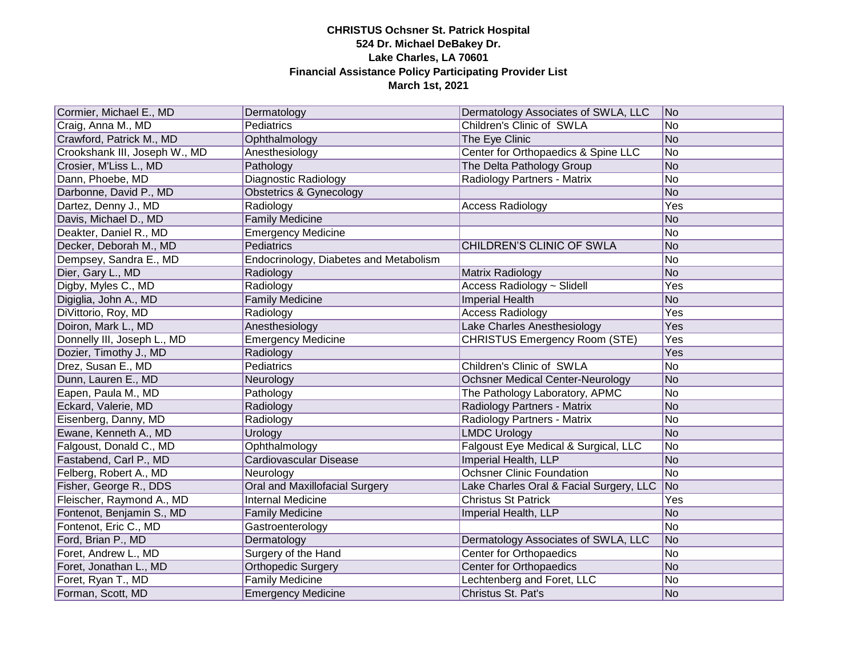| Cormier, Michael E., MD       |                                        | Dermatology Associates of SWLA, LLC     | No                          |
|-------------------------------|----------------------------------------|-----------------------------------------|-----------------------------|
|                               | Dermatology<br>Pediatrics              | Children's Clinic of SWLA               | No                          |
| Craig, Anna M., MD            |                                        |                                         | No                          |
| Crawford, Patrick M., MD      | Ophthalmology                          | The Eye Clinic                          |                             |
| Crookshank III, Joseph W., MD | Anesthesiology                         | Center for Orthopaedics & Spine LLC     | No                          |
| Crosier, M'Liss L., MD        | Pathology                              | The Delta Pathology Group               | No                          |
| Dann, Phoebe, MD              | Diagnostic Radiology                   | Radiology Partners - Matrix             | <b>No</b>                   |
| Darbonne, David P., MD        | Obstetrics & Gynecology                |                                         | <b>No</b>                   |
| Dartez, Denny J., MD          | Radiology                              | <b>Access Radiology</b>                 | Yes                         |
| Davis, Michael D., MD         | <b>Family Medicine</b>                 |                                         | <b>No</b>                   |
| Deakter, Daniel R., MD        | <b>Emergency Medicine</b>              |                                         | <b>No</b>                   |
| Decker, Deborah M., MD        | Pediatrics                             | CHILDREN'S CLINIC OF SWLA               | <b>No</b>                   |
| Dempsey, Sandra E., MD        | Endocrinology, Diabetes and Metabolism |                                         | <b>No</b>                   |
| Dier, Gary L., MD             | Radiology                              | Matrix Radiology                        | <b>No</b>                   |
| Digby, Myles C., MD           | Radiology                              | Access Radiology ~ Slidell              | Yes                         |
| Digiglia, John A., MD         | <b>Family Medicine</b>                 | <b>Imperial Health</b>                  | <b>No</b>                   |
| DiVittorio, Roy, MD           | Radiology                              | <b>Access Radiology</b>                 | Yes                         |
| Doiron, Mark L., MD           | Anesthesiology                         | Lake Charles Anesthesiology             | Yes                         |
| Donnelly III, Joseph L., MD   | <b>Emergency Medicine</b>              | <b>CHRISTUS Emergency Room (STE)</b>    | Yes                         |
| Dozier, Timothy J., MD        | Radiology                              |                                         | Yes                         |
| Drez, Susan E., MD            | Pediatrics                             | <b>Children's Clinic of SWLA</b>        | <b>No</b>                   |
| Dunn, Lauren E., MD           | Neurology                              | <b>Ochsner Medical Center-Neurology</b> | N <sub>o</sub>              |
| Eapen, Paula M., MD           | Pathology                              | The Pathology Laboratory, APMC          | No                          |
| Eckard, Valerie, MD           | Radiology                              | Radiology Partners - Matrix             | N <sub>o</sub>              |
| Eisenberg, Danny, MD          | Radiology                              | Radiology Partners - Matrix             | <b>No</b>                   |
| Ewane, Kenneth A., MD         | Urology                                | <b>LMDC Urology</b>                     | N <sub>o</sub>              |
| Falgoust, Donald C., MD       | Ophthalmology                          | Falgoust Eye Medical & Surgical, LLC    | No                          |
| Fastabend, Carl P., MD        | Cardiovascular Disease                 | Imperial Health, LLP                    | No                          |
| Felberg, Robert A., MD        | Neurology                              | <b>Ochsner Clinic Foundation</b>        | No                          |
| Fisher, George R., DDS        | <b>Oral and Maxillofacial Surgery</b>  | Lake Charles Oral & Facial Surgery, LLC | $\overline{\phantom{a}}$ No |
| Fleischer, Raymond A., MD     | <b>Internal Medicine</b>               | <b>Christus St Patrick</b>              | Yes                         |
| Fontenot, Benjamin S., MD     | <b>Family Medicine</b>                 | Imperial Health, LLP                    | <b>No</b>                   |
| Fontenot, Eric C., MD         | Gastroenterology                       |                                         | No                          |
| Ford, Brian P., MD            | Dermatology                            | Dermatology Associates of SWLA, LLC     | N <sub>o</sub>              |
| Foret, Andrew L., MD          | Surgery of the Hand                    | <b>Center for Orthopaedics</b>          | No                          |
| Foret, Jonathan L., MD        | <b>Orthopedic Surgery</b>              | <b>Center for Orthopaedics</b>          | N <sub>o</sub>              |
| Foret, Ryan T., MD            | <b>Family Medicine</b>                 | Lechtenberg and Foret, LLC              | <b>No</b>                   |
| Forman, Scott, MD             | <b>Emergency Medicine</b>              | Christus St. Pat's                      | N <sub>o</sub>              |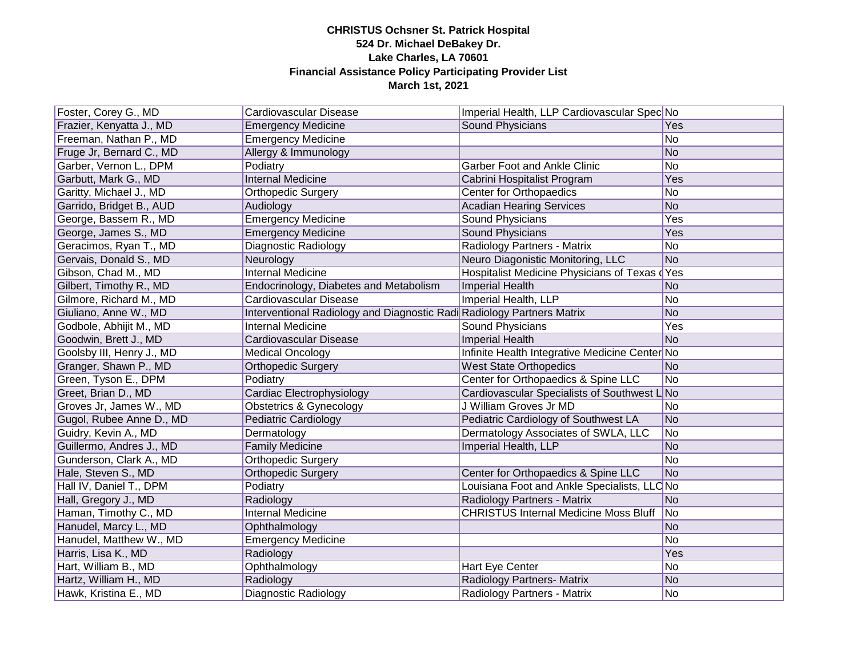| Foster, Corey G., MD      | Cardiovascular Disease                                                 | Imperial Health, LLP Cardiovascular Spec No    |                 |
|---------------------------|------------------------------------------------------------------------|------------------------------------------------|-----------------|
| Frazier, Kenyatta J., MD  | <b>Emergency Medicine</b>                                              | Sound Physicians                               | Yes             |
| Freeman, Nathan P., MD    | <b>Emergency Medicine</b>                                              |                                                | No              |
| Fruge Jr, Bernard C., MD  | Allergy & Immunology                                                   |                                                | $\overline{No}$ |
| Garber, Vernon L., DPM    | Podiatry                                                               | <b>Garber Foot and Ankle Clinic</b>            | <b>No</b>       |
| Garbutt, Mark G., MD      | Internal Medicine                                                      | Cabrini Hospitalist Program                    | Yes             |
| Garitty, Michael J., MD   | <b>Orthopedic Surgery</b>                                              | Center for Orthopaedics                        | No              |
| Garrido, Bridget B., AUD  | Audiology                                                              | <b>Acadian Hearing Services</b>                | <b>No</b>       |
| George, Bassem R., MD     | <b>Emergency Medicine</b>                                              | Sound Physicians                               | Yes             |
| George, James S., MD      | <b>Emergency Medicine</b>                                              | Sound Physicians                               | Yes             |
| Geracimos, Ryan T., MD    | Diagnostic Radiology                                                   | Radiology Partners - Matrix                    | No              |
| Gervais, Donald S., MD    | Neurology                                                              | Neuro Diagonistic Monitoring, LLC              | N <sub>o</sub>  |
| Gibson, Chad M., MD       | Internal Medicine                                                      | Hospitalist Medicine Physicians of Texas dYes  |                 |
| Gilbert, Timothy R., MD   | Endocrinology, Diabetes and Metabolism                                 | <b>Imperial Health</b>                         | <b>No</b>       |
| Gilmore, Richard M., MD   | Cardiovascular Disease                                                 | Imperial Health, LLP                           | <b>No</b>       |
| Giuliano, Anne W., MD     | Interventional Radiology and Diagnostic Radi Radiology Partners Matrix |                                                | <b>No</b>       |
| Godbole, Abhijit M., MD   | <b>Internal Medicine</b>                                               | Sound Physicians                               | Yes             |
| Goodwin, Brett J., MD     | Cardiovascular Disease                                                 | <b>Imperial Health</b>                         | <b>No</b>       |
| Goolsby III, Henry J., MD | <b>Medical Oncology</b>                                                | Infinite Health Integrative Medicine Center No |                 |
| Granger, Shawn P., MD     | <b>Orthopedic Surgery</b>                                              | <b>West State Orthopedics</b>                  | N <sub>o</sub>  |
| Green, Tyson E., DPM      | Podiatry                                                               | Center for Orthopaedics & Spine LLC            | No              |
| Greet, Brian D., MD       | Cardiac Electrophysiology                                              | Cardiovascular Specialists of Southwest L      | _No             |
| Groves Jr, James W., MD   | <b>Obstetrics &amp; Gynecology</b>                                     | J William Groves Jr MD                         | No.             |
| Gugol, Rubee Anne D., MD  | <b>Pediatric Cardiology</b>                                            | Pediatric Cardiology of Southwest LA           | N <sub>o</sub>  |
| Guidry, Kevin A., MD      | Dermatology                                                            | Dermatology Associates of SWLA, LLC            | No.             |
| Guillermo, Andres J., MD  | <b>Family Medicine</b>                                                 | Imperial Health, LLP                           | N <sub>o</sub>  |
| Gunderson, Clark A., MD   | <b>Orthopedic Surgery</b>                                              |                                                | No              |
| Hale, Steven S., MD       | <b>Orthopedic Surgery</b>                                              | Center for Orthopaedics & Spine LLC            | N <sub>o</sub>  |
| Hall IV, Daniel T., DPM   | Podiatry                                                               | Louisiana Foot and Ankle Specialists, LLC No   |                 |
| Hall, Gregory J., MD      | Radiology                                                              | Radiology Partners - Matrix                    | N <sub>o</sub>  |
| Haman, Timothy C., MD     | <b>Internal Medicine</b>                                               | <b>CHRISTUS Internal Medicine Moss Bluff</b>   | No              |
| Hanudel, Marcy L., MD     | Ophthalmology                                                          |                                                | <b>No</b>       |
| Hanudel, Matthew W., MD   | <b>Emergency Medicine</b>                                              |                                                | No              |
| Harris, Lisa K., MD       | Radiology                                                              |                                                | Yes             |
| Hart, William B., MD      | Ophthalmology                                                          | Hart Eye Center                                | No              |
| Hartz, William H., MD     | Radiology                                                              | Radiology Partners- Matrix                     | <b>No</b>       |
| Hawk, Kristina E., MD     | Diagnostic Radiology                                                   | Radiology Partners - Matrix                    | No              |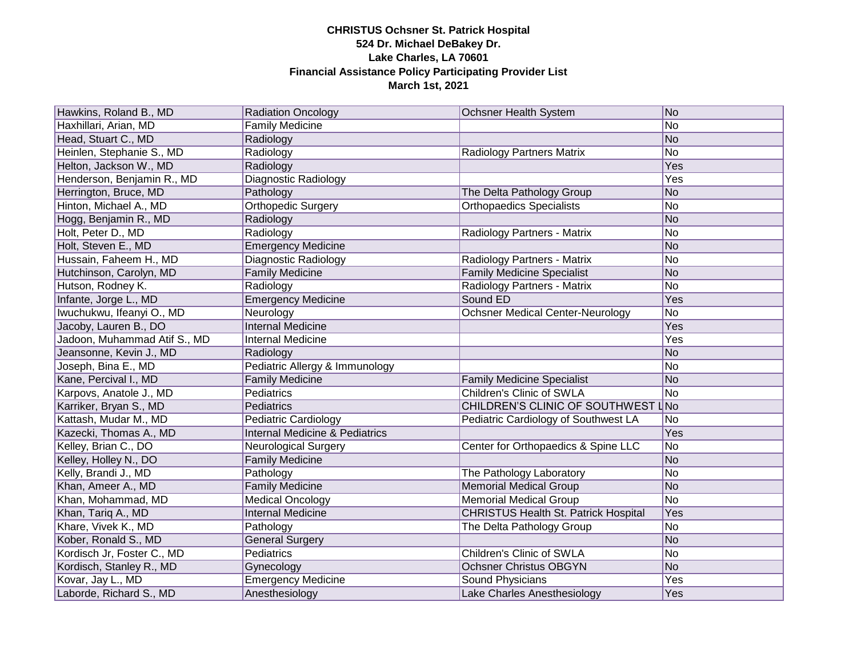| Hawkins, Roland B., MD       | <b>Radiation Oncology</b>                 | <b>Ochsner Health System</b>                | No             |
|------------------------------|-------------------------------------------|---------------------------------------------|----------------|
| Haxhillari, Arian, MD        | <b>Family Medicine</b>                    |                                             | No             |
| Head, Stuart C., MD          | Radiology                                 |                                             | No             |
| Heinlen, Stephanie S., MD    | Radiology                                 | <b>Radiology Partners Matrix</b>            | N <sub>o</sub> |
| Helton, Jackson W., MD       | Radiology                                 |                                             | <b>Yes</b>     |
| Henderson, Benjamin R., MD   | Diagnostic Radiology                      |                                             | <b>Yes</b>     |
| Herrington, Bruce, MD        | Pathology                                 | The Delta Pathology Group                   | No             |
| Hinton, Michael A., MD       | <b>Orthopedic Surgery</b>                 | <b>Orthopaedics Specialists</b>             | No             |
| Hogg, Benjamin R., MD        | Radiology                                 |                                             | No             |
| Holt, Peter D., MD           | Radiology                                 | Radiology Partners - Matrix                 | No             |
| Holt, Steven E., MD          | <b>Emergency Medicine</b>                 |                                             | No             |
| Hussain, Faheem H., MD       | Diagnostic Radiology                      | Radiology Partners - Matrix                 | No             |
| Hutchinson, Carolyn, MD      | <b>Family Medicine</b>                    | <b>Family Medicine Specialist</b>           | No             |
| Hutson, Rodney K.            | Radiology                                 | Radiology Partners - Matrix                 | No             |
| Infante, Jorge L., MD        | <b>Emergency Medicine</b>                 | Sound ED                                    | Yes            |
| Iwuchukwu, Ifeanyi O., MD    | Neurology                                 | <b>Ochsner Medical Center-Neurology</b>     | N <sub>o</sub> |
| Jacoby, Lauren B., DO        | <b>Internal Medicine</b>                  |                                             | Yes            |
| Jadoon, Muhammad Atif S., MD | Internal Medicine                         |                                             | Yes            |
| Jeansonne, Kevin J., MD      | Radiology                                 |                                             | N <sub>o</sub> |
| Joseph, Bina E., MD          | Pediatric Allergy & Immunology            |                                             | No             |
| Kane, Percival I., MD        | <b>Family Medicine</b>                    | <b>Family Medicine Specialist</b>           | No             |
| Karpovs, Anatole J., MD      | Pediatrics                                | Children's Clinic of SWLA                   | No             |
| Karriker, Bryan S., MD       | Pediatrics                                | CHILDREN'S CLINIC OF SOUTHWEST LNo          |                |
| Kattash, Mudar M., MD        | <b>Pediatric Cardiology</b>               | Pediatric Cardiology of Southwest LA        | No             |
| Kazecki, Thomas A., MD       | <b>Internal Medicine &amp; Pediatrics</b> |                                             | Yes            |
| Kelley, Brian C., DO         | <b>Neurological Surgery</b>               | Center for Orthopaedics & Spine LLC         | No             |
| Kelley, Holley N., DO        | <b>Family Medicine</b>                    |                                             | No             |
| Kelly, Brandi J., MD         | Pathology                                 | The Pathology Laboratory                    | No             |
| Khan, Ameer A., MD           | <b>Family Medicine</b>                    | <b>Memorial Medical Group</b>               | No             |
| Khan, Mohammad, MD           | <b>Medical Oncology</b>                   | <b>Memorial Medical Group</b>               | No             |
| Khan, Tariq A., MD           | <b>Internal Medicine</b>                  | <b>CHRISTUS Health St. Patrick Hospital</b> | Yes            |
| Khare, Vivek K., MD          | Pathology                                 | The Delta Pathology Group                   | No             |
| Kober, Ronald S., MD         | <b>General Surgery</b>                    |                                             | No             |
| Kordisch Jr, Foster C., MD   | Pediatrics                                | Children's Clinic of SWLA                   | No             |
| Kordisch, Stanley R., MD     | Gynecology                                | <b>Ochsner Christus OBGYN</b>               | No             |
| Kovar, Jay L., MD            | <b>Emergency Medicine</b>                 | Sound Physicians                            | Yes            |
| Laborde, Richard S., MD      | Anesthesiology                            | Lake Charles Anesthesiology                 | Yes            |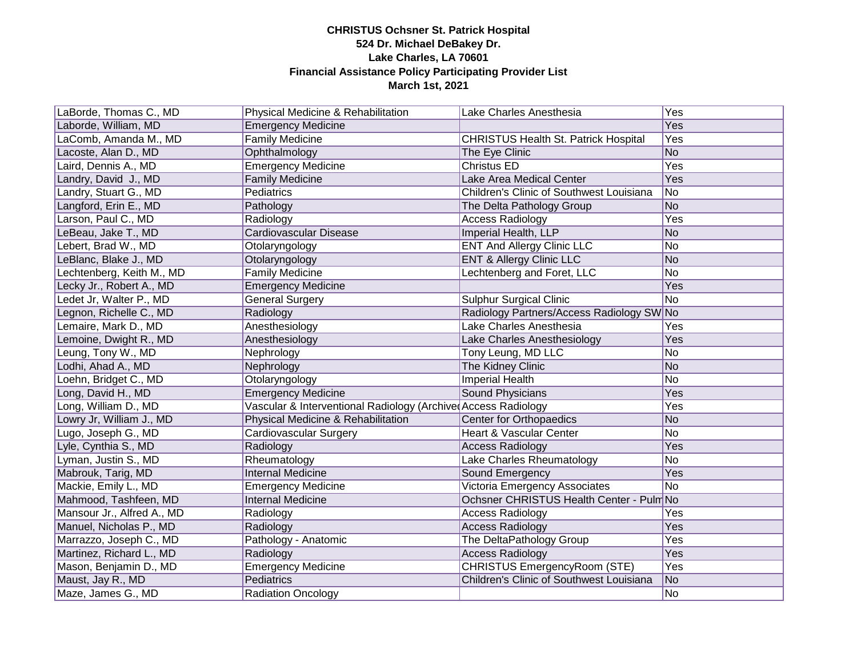| LaBorde, Thomas C., MD     | Physical Medicine & Rehabilitation                            | Lake Charles Anesthesia                     | Yes            |
|----------------------------|---------------------------------------------------------------|---------------------------------------------|----------------|
| Laborde, William, MD       | <b>Emergency Medicine</b>                                     |                                             | <b>Yes</b>     |
| LaComb, Amanda M., MD      | <b>Family Medicine</b>                                        | <b>CHRISTUS Health St. Patrick Hospital</b> | Yes            |
| Lacoste, Alan D., MD       | Ophthalmology                                                 | The Eye Clinic                              | <b>No</b>      |
| Laird, Dennis A., MD       | <b>Emergency Medicine</b>                                     | <b>Christus ED</b>                          | Yes            |
| Landry, David J., MD       | <b>Family Medicine</b>                                        | Lake Area Medical Center                    | Yes            |
| Landry, Stuart G., MD      | Pediatrics                                                    | Children's Clinic of Southwest Louisiana    | No             |
| Langford, Erin E., MD      | Pathology                                                     | The Delta Pathology Group                   | <b>No</b>      |
| Larson, Paul C., MD        | Radiology                                                     | <b>Access Radiology</b>                     | Yes            |
| LeBeau, Jake T., MD        | Cardiovascular Disease                                        | Imperial Health, LLP                        | <b>No</b>      |
| Lebert, Brad W., MD        | Otolaryngology                                                | <b>ENT And Allergy Clinic LLC</b>           | No             |
| LeBlanc, Blake J., MD      | Otolaryngology                                                | <b>ENT &amp; Allergy Clinic LLC</b>         | <b>No</b>      |
| Lechtenberg, Keith M., MD  | <b>Family Medicine</b>                                        | Lechtenberg and Foret, LLC                  | <b>No</b>      |
| Lecky Jr., Robert A., MD   | <b>Emergency Medicine</b>                                     |                                             | Yes            |
| Ledet Jr, Walter P., MD    | <b>General Surgery</b>                                        | <b>Sulphur Surgical Clinic</b>              | <b>No</b>      |
| Legnon, Richelle C., MD    | Radiology                                                     | Radiology Partners/Access Radiology SW No   |                |
| Lemaire, Mark D., MD       | Anesthesiology                                                | Lake Charles Anesthesia                     | Yes            |
| Lemoine, Dwight R., MD     | Anesthesiology                                                | Lake Charles Anesthesiology                 | Yes            |
| Leung, Tony W., MD         | Nephrology                                                    | Tony Leung, MD LLC                          | No             |
| Lodhi, Ahad A., MD         | Nephrology                                                    | The Kidney Clinic                           | N <sub>o</sub> |
| Loehn, Bridget C., MD      | Otolaryngology                                                | Imperial Health                             | <b>No</b>      |
| Long, David H., MD         | <b>Emergency Medicine</b>                                     | Sound Physicians                            | Yes            |
| Long, William D., MD       | Vascular & Interventional Radiology (Archive Access Radiology |                                             | Yes            |
| Lowry Jr, William J., MD   | Physical Medicine & Rehabilitation                            | Center for Orthopaedics                     | <b>No</b>      |
| Lugo, Joseph G., MD        | Cardiovascular Surgery                                        | Heart & Vascular Center                     | <b>No</b>      |
| Lyle, Cynthia S., MD       | Radiology                                                     | <b>Access Radiology</b>                     | Yes            |
| Lyman, Justin S., MD       | Rheumatology                                                  | Lake Charles Rheumatology                   | No             |
| Mabrouk, Tarig, MD         | <b>Internal Medicine</b>                                      | Sound Emergency                             | Yes            |
| Mackie, Emily L., MD       | <b>Emergency Medicine</b>                                     | Victoria Emergency Associates               | No             |
| Mahmood, Tashfeen, MD      | <b>Internal Medicine</b>                                      | Ochsner CHRISTUS Health Center - Pulm No    |                |
| Mansour Jr., Alfred A., MD | Radiology                                                     | <b>Access Radiology</b>                     | Yes            |
| Manuel, Nicholas P., MD    | Radiology                                                     | <b>Access Radiology</b>                     | Yes            |
| Marrazzo, Joseph C., MD    | Pathology - Anatomic                                          | The DeltaPathology Group                    | Yes            |
| Martinez, Richard L., MD   | Radiology                                                     | <b>Access Radiology</b>                     | Yes            |
| Mason, Benjamin D., MD     | <b>Emergency Medicine</b>                                     | CHRISTUS EmergencyRoom (STE)                | Yes            |
| Maust, Jay R., MD          | Pediatrics                                                    | Children's Clinic of Southwest Louisiana    | No             |
| Maze, James G., MD         | <b>Radiation Oncology</b>                                     |                                             | No             |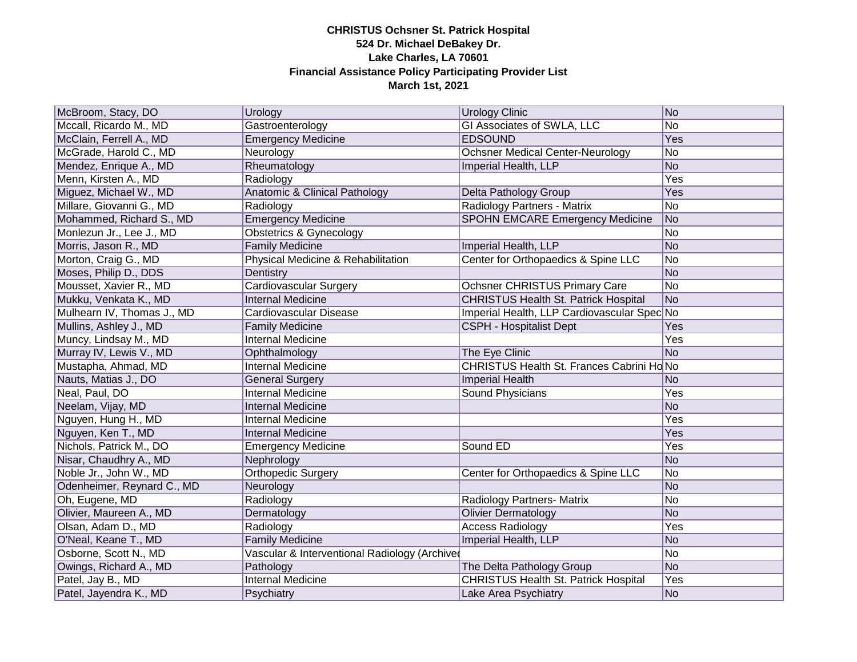| McBroom, Stacy, DO         | Urology                                       | <b>Urology Clinic</b>                       | No             |
|----------------------------|-----------------------------------------------|---------------------------------------------|----------------|
| Mccall, Ricardo M., MD     | Gastroenterology                              | <b>GI Associates of SWLA, LLC</b>           | No             |
| McClain, Ferrell A., MD    | <b>Emergency Medicine</b>                     | <b>EDSOUND</b>                              | Yes            |
| McGrade, Harold C., MD     | Neurology                                     | <b>Ochsner Medical Center-Neurology</b>     | No             |
| Mendez, Enrique A., MD     | Rheumatology                                  | Imperial Health, LLP                        | N <sub>o</sub> |
| Menn, Kirsten A., MD       | Radiology                                     |                                             | Yes            |
| Miguez, Michael W., MD     | Anatomic & Clinical Pathology                 | Delta Pathology Group                       | Yes            |
| Millare, Giovanni G., MD   | Radiology                                     | Radiology Partners - Matrix                 | No             |
| Mohammed, Richard S., MD   | <b>Emergency Medicine</b>                     | <b>SPOHN EMCARE Emergency Medicine</b>      | No             |
| Monlezun Jr., Lee J., MD   | <b>Obstetrics &amp; Gynecology</b>            |                                             | No             |
| Morris, Jason R., MD       | <b>Family Medicine</b>                        | Imperial Health, LLP                        | No             |
| Morton, Craig G., MD       | Physical Medicine & Rehabilitation            | Center for Orthopaedics & Spine LLC         | No             |
| Moses, Philip D., DDS      | Dentistry                                     |                                             | No             |
| Mousset, Xavier R., MD     | <b>Cardiovascular Surgery</b>                 | Ochsner CHRISTUS Primary Care               | No             |
| Mukku, Venkata K., MD      | <b>Internal Medicine</b>                      | <b>CHRISTUS Health St. Patrick Hospital</b> | No             |
| Mulhearn IV, Thomas J., MD | Cardiovascular Disease                        | Imperial Health, LLP Cardiovascular Spec No |                |
| Mullins, Ashley J., MD     | <b>Family Medicine</b>                        | <b>CSPH - Hospitalist Dept</b>              | Yes            |
| Muncy, Lindsay M., MD      | <b>Internal Medicine</b>                      |                                             | Yes            |
| Murray IV, Lewis V., MD    | Ophthalmology                                 | The Eye Clinic                              | <b>No</b>      |
| Mustapha, Ahmad, MD        | <b>Internal Medicine</b>                      | CHRISTUS Health St. Frances Cabrini Ho No   |                |
| Nauts, Matias J., DO       | <b>General Surgery</b>                        | <b>Imperial Health</b>                      | No             |
| Neal, Paul, DO             | <b>Internal Medicine</b>                      | Sound Physicians                            | Yes            |
| Neelam, Vijay, MD          | <b>Internal Medicine</b>                      |                                             | No             |
| Nguyen, Hung H., MD        | <b>Internal Medicine</b>                      |                                             | Yes            |
| Nguyen, Ken T., MD         | <b>Internal Medicine</b>                      |                                             | Yes            |
| Nichols, Patrick M., DO    | <b>Emergency Medicine</b>                     | Sound ED                                    | Yes            |
| Nisar, Chaudhry A., MD     | Nephrology                                    |                                             | No             |
| Noble Jr., John W., MD     | <b>Orthopedic Surgery</b>                     | Center for Orthopaedics & Spine LLC         | No             |
| Odenheimer, Reynard C., MD | Neurology                                     |                                             | <b>No</b>      |
| Oh, Eugene, MD             | Radiology                                     | Radiology Partners- Matrix                  | No             |
| Olivier, Maureen A., MD    | Dermatology                                   | <b>Olivier Dermatology</b>                  | No             |
| Olsan, Adam D., MD         | Radiology                                     | <b>Access Radiology</b>                     | Yes            |
| O'Neal, Keane T., MD       | <b>Family Medicine</b>                        | Imperial Health, LLP                        | No             |
| Osborne, Scott N., MD      | Vascular & Interventional Radiology (Archived |                                             | N <sub>o</sub> |
| Owings, Richard A., MD     | Pathology                                     | The Delta Pathology Group                   | No             |
| Patel, Jay B., MD          | Internal Medicine                             | <b>CHRISTUS Health St. Patrick Hospital</b> | Yes            |
| Patel, Jayendra K., MD     | Psychiatry                                    | Lake Area Psychiatry                        | No             |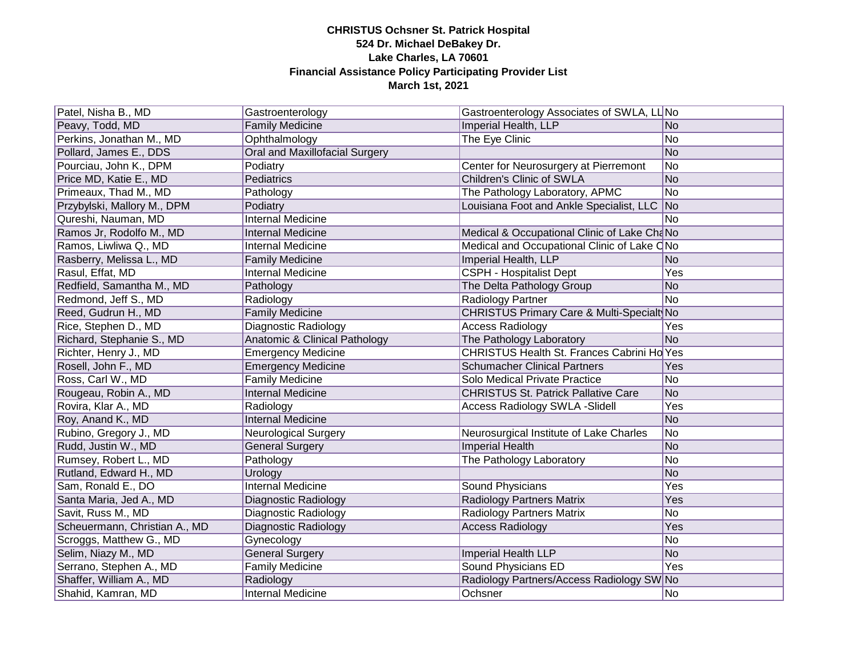| Patel, Nisha B., MD           | Gastroenterology                      | Gastroenterology Associates of SWLA, LL No  |                          |
|-------------------------------|---------------------------------------|---------------------------------------------|--------------------------|
| Peavy, Todd, MD               | <b>Family Medicine</b>                | Imperial Health, LLP                        | No                       |
| Perkins, Jonathan M., MD      | Ophthalmology                         | The Eye Clinic                              | No                       |
| Pollard, James E., DDS        | <b>Oral and Maxillofacial Surgery</b> |                                             | No                       |
| Pourciau, John K., DPM        | Podiatry                              | Center for Neurosurgery at Pierremont       | No                       |
| Price MD, Katie E., MD        | Pediatrics                            | Children's Clinic of SWLA                   | No                       |
| Primeaux, Thad M., MD         | Pathology                             | The Pathology Laboratory, APMC              | No                       |
| Przybylski, Mallory M., DPM   | Podiatry                              | Louisiana Foot and Ankle Specialist, LLC    | $\overline{\mathsf{No}}$ |
| Qureshi, Nauman, MD           | Internal Medicine                     |                                             | N <sub>o</sub>           |
| Ramos Jr, Rodolfo M., MD      | <b>Internal Medicine</b>              | Medical & Occupational Clinic of Lake ChaNo |                          |
| Ramos, Liwliwa Q., MD         | Internal Medicine                     | Medical and Occupational Clinic of Lake CNo |                          |
| Rasberry, Melissa L., MD      | <b>Family Medicine</b>                | Imperial Health, LLP                        | N <sub>o</sub>           |
| Rasul, Effat, MD              | Internal Medicine                     | <b>CSPH - Hospitalist Dept</b>              | Yes                      |
| Redfield, Samantha M., MD     | Pathology                             | The Delta Pathology Group                   | N <sub>o</sub>           |
| Redmond, Jeff S., MD          | Radiology                             | Radiology Partner                           | No                       |
| Reed, Gudrun H., MD           | <b>Family Medicine</b>                | CHRISTUS Primary Care & Multi-Specialt No   |                          |
| Rice, Stephen D., MD          | Diagnostic Radiology                  | <b>Access Radiology</b>                     | Yes                      |
| Richard, Stephanie S., MD     | Anatomic & Clinical Pathology         | The Pathology Laboratory                    | N <sub>o</sub>           |
| Richter, Henry J., MD         | <b>Emergency Medicine</b>             | CHRISTUS Health St. Frances Cabrini Ho Yes  |                          |
| Rosell, John F., MD           | <b>Emergency Medicine</b>             | <b>Schumacher Clinical Partners</b>         | Yes                      |
| Ross, Carl W., MD             | <b>Family Medicine</b>                | Solo Medical Private Practice               | No                       |
| Rougeau, Robin A., MD         | <b>Internal Medicine</b>              | <b>CHRISTUS St. Patrick Pallative Care</b>  | No                       |
| Rovira, Klar A., MD           | Radiology                             | <b>Access Radiology SWLA -Slidell</b>       | Yes                      |
| Roy, Anand K., MD             | <b>Internal Medicine</b>              |                                             | No                       |
| Rubino, Gregory J., MD        | <b>Neurological Surgery</b>           | Neurosurgical Institute of Lake Charles     | No                       |
| Rudd, Justin W., MD           | <b>General Surgery</b>                | Imperial Health                             | No                       |
| Rumsey, Robert L., MD         | Pathology                             | The Pathology Laboratory                    | No                       |
| Rutland, Edward H., MD        | Urology                               |                                             | No                       |
| Sam, Ronald E., DO            | <b>Internal Medicine</b>              | <b>Sound Physicians</b>                     | Yes                      |
| Santa Maria, Jed A., MD       | <b>Diagnostic Radiology</b>           | <b>Radiology Partners Matrix</b>            | Yes                      |
| Savit, Russ M., MD            | Diagnostic Radiology                  | Radiology Partners Matrix                   | No                       |
| Scheuermann, Christian A., MD | Diagnostic Radiology                  | <b>Access Radiology</b>                     | Yes                      |
| Scroggs, Matthew G., MD       | Gynecology                            |                                             | No                       |
| Selim, Niazy M., MD           | <b>General Surgery</b>                | <b>Imperial Health LLP</b>                  | No                       |
| Serrano, Stephen A., MD       | <b>Family Medicine</b>                | <b>Sound Physicians ED</b>                  | Yes                      |
| Shaffer, William A., MD       | Radiology                             | Radiology Partners/Access Radiology SW No   |                          |
| Shahid, Kamran, MD            | Internal Medicine                     | Ochsner                                     | No                       |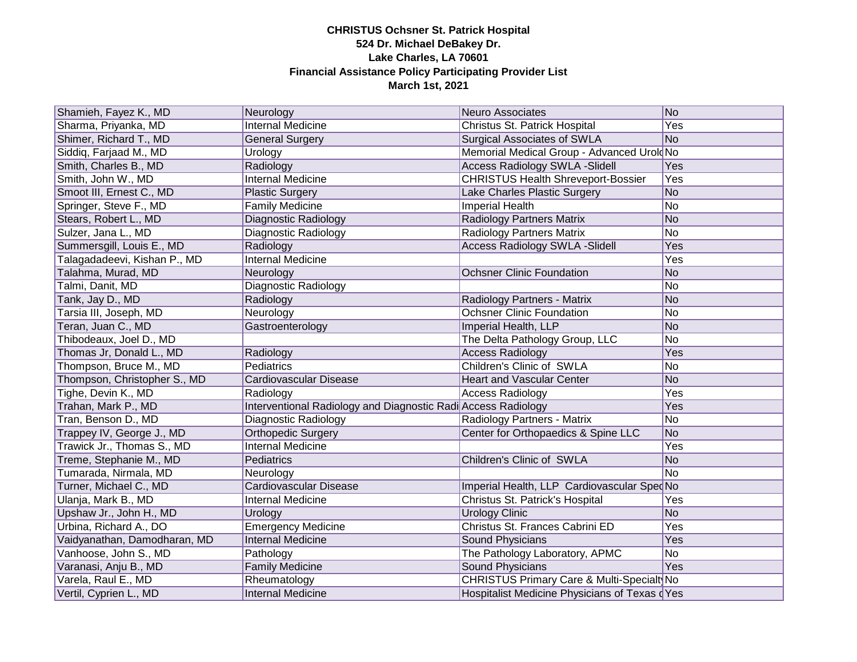| Shamieh, Fayez K., MD        | Neurology                                                     | Neuro Associates                              | No             |
|------------------------------|---------------------------------------------------------------|-----------------------------------------------|----------------|
| Sharma, Priyanka, MD         | <b>Internal Medicine</b>                                      | Christus St. Patrick Hospital                 | Yes            |
| Shimer, Richard T., MD       | <b>General Surgery</b>                                        | <b>Surgical Associates of SWLA</b>            | N <sub>o</sub> |
| Siddiq, Farjaad M., MD       | Urology                                                       | Memorial Medical Group - Advanced Urold No    |                |
| Smith, Charles B., MD        | Radiology                                                     | <b>Access Radiology SWLA -Slidell</b>         | <b>Yes</b>     |
| Smith, John W., MD           | Internal Medicine                                             | <b>CHRISTUS Health Shreveport-Bossier</b>     | Yes            |
| Smoot III, Ernest C., MD     | <b>Plastic Surgery</b>                                        | Lake Charles Plastic Surgery                  | N <sub>o</sub> |
| Springer, Steve F., MD       | <b>Family Medicine</b>                                        | Imperial Health                               | No             |
| Stears, Robert L., MD        | Diagnostic Radiology                                          | <b>Radiology Partners Matrix</b>              | N <sub>o</sub> |
| Sulzer, Jana L., MD          | Diagnostic Radiology                                          | <b>Radiology Partners Matrix</b>              | No             |
| Summersgill, Louis E., MD    | Radiology                                                     | <b>Access Radiology SWLA -Slidell</b>         | Yes            |
| Talagadadeevi, Kishan P., MD | Internal Medicine                                             |                                               | Yes            |
| Talahma, Murad, MD           | Neurology                                                     | <b>Ochsner Clinic Foundation</b>              | N <sub>o</sub> |
| Talmi, Danit, MD             | Diagnostic Radiology                                          |                                               | No             |
| Tank, Jay D., MD             | Radiology                                                     | Radiology Partners - Matrix                   | N <sub>o</sub> |
| Tarsia III, Joseph, MD       | Neurology                                                     | <b>Ochsner Clinic Foundation</b>              | No             |
| Teran, Juan C., MD           | Gastroenterology                                              | Imperial Health, LLP                          | No             |
| Thibodeaux, Joel D., MD      |                                                               | The Delta Pathology Group, LLC                | No             |
| Thomas Jr, Donald L., MD     | Radiology                                                     | <b>Access Radiology</b>                       | Yes            |
| Thompson, Bruce M., MD       | Pediatrics                                                    | Children's Clinic of SWLA                     | No             |
| Thompson, Christopher S., MD | Cardiovascular Disease                                        | <b>Heart and Vascular Center</b>              | N <sub>o</sub> |
| Tighe, Devin K., MD          | Radiology                                                     | <b>Access Radiology</b>                       | Yes            |
| Trahan, Mark P., MD          | Interventional Radiology and Diagnostic Radi Access Radiology |                                               | Yes            |
| Tran, Benson D., MD          | Diagnostic Radiology                                          | Radiology Partners - Matrix                   | No             |
| Trappey IV, George J., MD    | <b>Orthopedic Surgery</b>                                     | Center for Orthopaedics & Spine LLC           | N <sub>o</sub> |
| Trawick Jr., Thomas S., MD   | <b>Internal Medicine</b>                                      |                                               | Yes            |
| Treme, Stephanie M., MD      | Pediatrics                                                    | Children's Clinic of SWLA                     | No             |
| Tumarada, Nirmala, MD        | Neurology                                                     |                                               | No             |
| Turner, Michael C., MD       | Cardiovascular Disease                                        | Imperial Health, LLP Cardiovascular SpecNo    |                |
| Ulanja, Mark B., MD          | Internal Medicine                                             | Christus St. Patrick's Hospital               | Yes            |
| Upshaw Jr., John H., MD      | Urology                                                       | <b>Urology Clinic</b>                         | N <sub>o</sub> |
| Urbina, Richard A., DO       | <b>Emergency Medicine</b>                                     | Christus St. Frances Cabrini ED               | Yes            |
| Vaidyanathan, Damodharan, MD | <b>Internal Medicine</b>                                      | Sound Physicians                              | Yes            |
| Vanhoose, John S., MD        | Pathology                                                     | The Pathology Laboratory, APMC                | N <sub>o</sub> |
| Varanasi, Anju B., MD        | <b>Family Medicine</b>                                        | <b>Sound Physicians</b>                       | Yes            |
| Varela, Raul E., MD          | Rheumatology                                                  | CHRISTUS Primary Care & Multi-Specialt No     |                |
| Vertil, Cyprien L., MD       | <b>Internal Medicine</b>                                      | Hospitalist Medicine Physicians of Texas dYes |                |